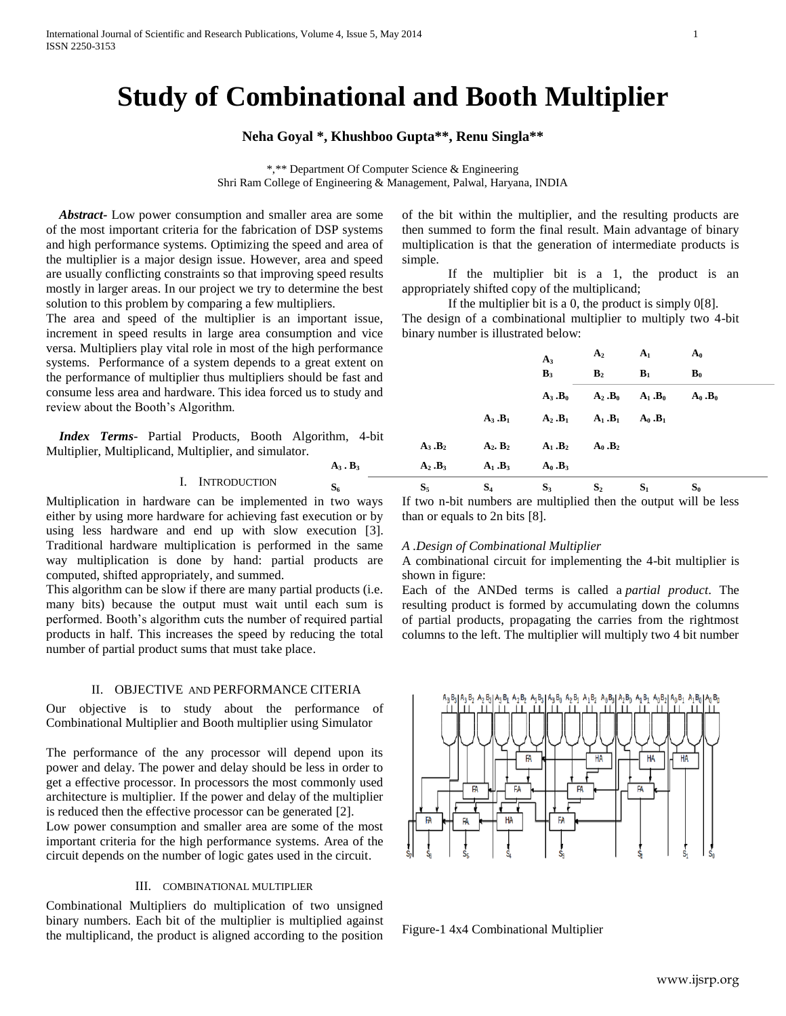# **Study of Combinational and Booth Multiplier**

## **Neha Goyal \*, Khushboo Gupta\*\*, Renu Singla\*\***

\*,\*\* Department Of Computer Science & Engineering Shri Ram College of Engineering & Management, Palwal, Haryana, INDIA

**A<sup>3</sup> . B<sup>3</sup> A<sup>2</sup> .B<sup>3</sup> A<sup>1</sup> .B<sup>3</sup> A<sup>0</sup> .B<sup>3</sup>**

 *Abstract-* Low power consumption and smaller area are some of the most important criteria for the fabrication of DSP systems and high performance systems. Optimizing the speed and area of the multiplier is a major design issue. However, area and speed are usually conflicting constraints so that improving speed results mostly in larger areas. In our project we try to determine the best solution to this problem by comparing a few multipliers.

The area and speed of the multiplier is an important issue, increment in speed results in large area consumption and vice versa. Multipliers play vital role in most of the high performan systems. Performance of a system depends to a great extent the performance of multiplier thus multipliers should be fast a consume less area and hardware. This idea forced us to study a review about the Booth's Algorithm.

*Index Terms*- Partial Products, Booth Algorithm, 4-Multiplier, Multiplicand, Multiplier, and simulator.

#### I. INTRODUCTION

Multiplication in hardware can be implemented in two ways either by using more hardware for achieving fast execution or by using less hardware and end up with slow execution [3]. Traditional hardware multiplication is performed in the same way multiplication is done by hand: partial products are computed, shifted appropriately, and summed.

This algorithm can be slow if there are many partial products (i.e. many bits) because the output must wait until each sum is performed. Booth's algorithm cuts the number of required partial products in half. This increases the speed by reducing the total number of partial product sums that must take place.

#### II. OBJECTIVE AND PERFORMANCE CITERIA

Our objective is to study about the performance of Combinational Multiplier and Booth multiplier using Simulator

The performance of the any processor will depend upon its power and delay. The power and delay should be less in order to get a effective processor. In processors the most commonly used architecture is multiplier. If the power and delay of the multiplier is reduced then the effective processor can be generated [2].

Low power consumption and smaller area are some of the most important criteria for the high performance systems. Area of the circuit depends on the number of logic gates used in the circuit.

### III. COMBINATIONAL MULTIPLIER

Combinational Multipliers do multiplication of two unsigned binary numbers. Each bit of the multiplier is multiplied against the multiplicand, the product is aligned according to the position of the bit within the multiplier, and the resulting products are then summed to form the final result. Main advantage of binary multiplication is that the generation of intermediate products is simple.

If the multiplier bit is a 1, the product is an appropriately shifted copy of the multiplicand;

If the multiplier bit is a 0, the product is simply 0[8]. The design of a combinational multiplier to multiply two 4-bit binary number is illustrated below:

| ıce       |           |                       | $A_3$                 | A <sub>2</sub> | A <sub>1</sub>      | $A_0$          |  |
|-----------|-----------|-----------------------|-----------------------|----------------|---------------------|----------------|--|
| on<br>ınd |           |                       | $B_3$                 | B <sub>2</sub> | $B_1$               | $\mathbf{B}_0$ |  |
| ınd       |           |                       | $A_3.B_0$             |                | $A_2.B_0$ $A_1.B_0$ | $A_0.B_0$      |  |
|           |           | $A_3.B_1$             | $A_2.B_1$             | $A_1 . B_1$    | $A_0$ . $B_1$       |                |  |
| bit       | $A_3.B_2$ | $A_2$ , $B_2$         | $A_1.B_2$             | $A_0$ . $B_2$  |                     |                |  |
|           | $A_2.B_3$ | $A_1.B_3$             | $A_0.B_3$             |                |                     |                |  |
|           | $\sim$    | $\alpha$ and $\alpha$ | $\alpha$ and $\alpha$ | $\sim$         | $\sim$              | $\sim$         |  |

 $S_6$  **S**<sub>5</sub> **S**<sub>4</sub> **S**<sub>3</sub> **S**<sub>2</sub> **S**<sub>1</sub> **S**<sub>0</sub> **S**<sub>1</sub> If two n-bit numbers are multiplied then the output will be less than or equals to 2n bits [8].

#### *A .Design of Combinational Multiplier*

A combinational circuit for implementing the 4-bit multiplier is shown in figure:

Each of the ANDed terms is called a *partial product*. The resulting product is formed by accumulating down the columns of partial products, propagating the carries from the rightmost columns to the left. The multiplier will multiply two 4 bit number



Figure-1 4x4 Combinational Multiplier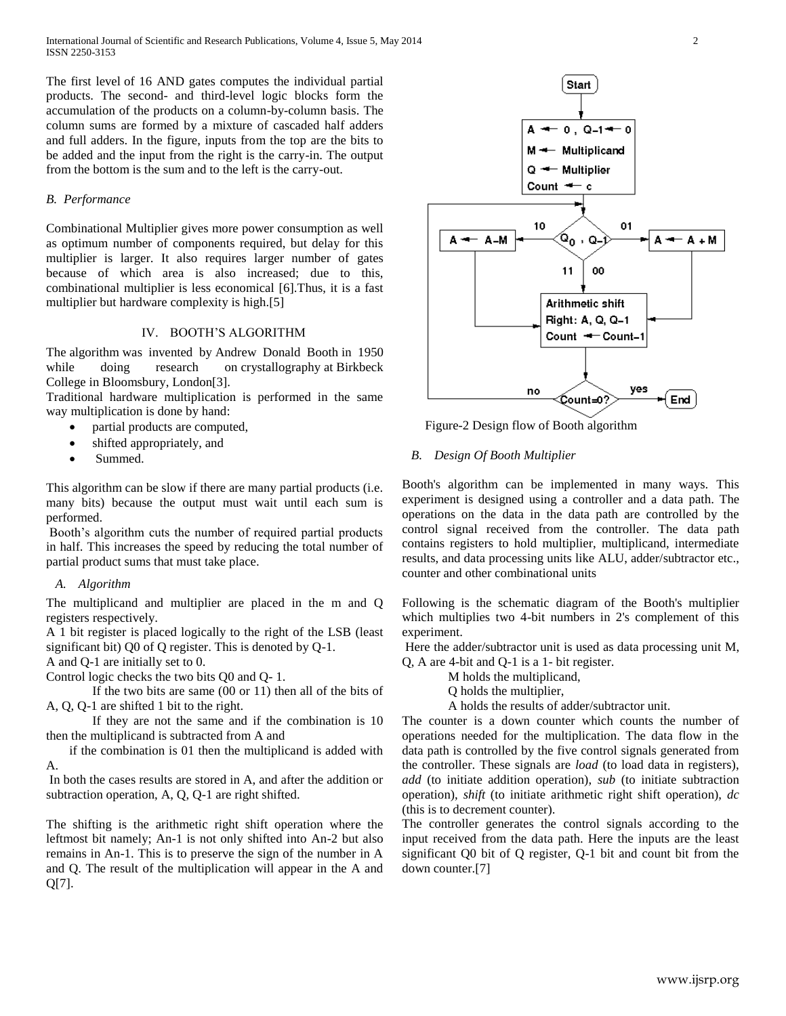The first level of 16 AND gates computes the individual partial products. The second- and third-level logic blocks form the accumulation of the products on a column-by-column basis. The column sums are formed by a mixture of cascaded half adders and full adders. In the figure, inputs from the top are the bits to be added and the input from the right is the carry-in. The output from the bottom is the sum and to the left is the carry-out.

### *B. Performance*

Combinational Multiplier gives more power consumption as well as optimum number of components required, but delay for this multiplier is larger. It also requires larger number of gates because of which area is also increased; due to this, combinational multiplier is less economical [6].Thus, it is a fast multiplier but hardware complexity is high.[5]

## IV. BOOTH'S ALGORITHM

The [algorithm](http://en.wikipedia.org/wiki/Algorithm) was invented by [Andrew Donald Booth](http://en.wikipedia.org/wiki/Andrew_Donald_Booth) in 1950 while doing research on [crystallography](http://en.wikipedia.org/wiki/Crystallography) at Birkbeck [College](http://en.wikipedia.org/wiki/Birkbeck,_University_of_London) in [Bloomsbury,](http://en.wikipedia.org/wiki/Bloomsbury) [London\[](http://en.wikipedia.org/wiki/London)3].

Traditional hardware multiplication is performed in the same way multiplication is done by hand:

- partial products are computed,
- shifted appropriately, and
- Summed.

This algorithm can be slow if there are many partial products (i.e. many bits) because the output must wait until each sum is performed.

Booth's algorithm cuts the number of required partial products in half. This increases the speed by reducing the total number of partial product sums that must take place.

#### *A. Algorithm*

The multiplicand and multiplier are placed in the m and Q registers respectively.

A 1 bit register is placed logically to the right of the LSB (least significant bit) Q0 of Q register. This is denoted by Q-1.

A and Q-1 are initially set to 0.

Control logic checks the two bits Q0 and Q- 1.

If the two bits are same (00 or 11) then all of the bits of A, Q, Q-1 are shifted 1 bit to the right.

If they are not the same and if the combination is 10 then the multiplicand is subtracted from A and

if the combination is 01 then the multiplicand is added with A.

In both the cases results are stored in A, and after the addition or subtraction operation, A, Q, Q-1 are right shifted.

The shifting is the arithmetic right shift operation where the leftmost bit namely; An-1 is not only shifted into An-2 but also remains in An-1. This is to preserve the sign of the number in A and Q. The result of the multiplication will appear in the A and Q[7].



Figure-2 Design flow of Booth algorithm

#### *B. Design Of Booth Multiplier*

Booth's algorithm can be implemented in many ways. This experiment is designed using a controller and a data path. The operations on the data in the data path are controlled by the control signal received from the controller. The data path contains registers to hold multiplier, multiplicand, intermediate results, and data processing units like ALU, adder/subtractor etc., counter and other combinational units

Following is the schematic diagram of the Booth's multiplier which multiplies two 4-bit numbers in 2's complement of this experiment.

Here the adder/subtractor unit is used as data processing unit M, Q, A are 4-bit and Q-1 is a 1- bit register.

M holds the multiplicand,

Q holds the multiplier,

A holds the results of adder/subtractor unit.

The counter is a down counter which counts the number of operations needed for the multiplication. The data flow in the data path is controlled by the five control signals generated from the controller. These signals are *load* (to load data in registers), *add* (to initiate addition operation), *sub* (to initiate subtraction operation), *shift* (to initiate arithmetic right shift operation), *dc*  (this is to decrement counter).

The controller generates the control signals according to the input received from the data path. Here the inputs are the least significant Q0 bit of Q register, Q-1 bit and count bit from the down counter.[7]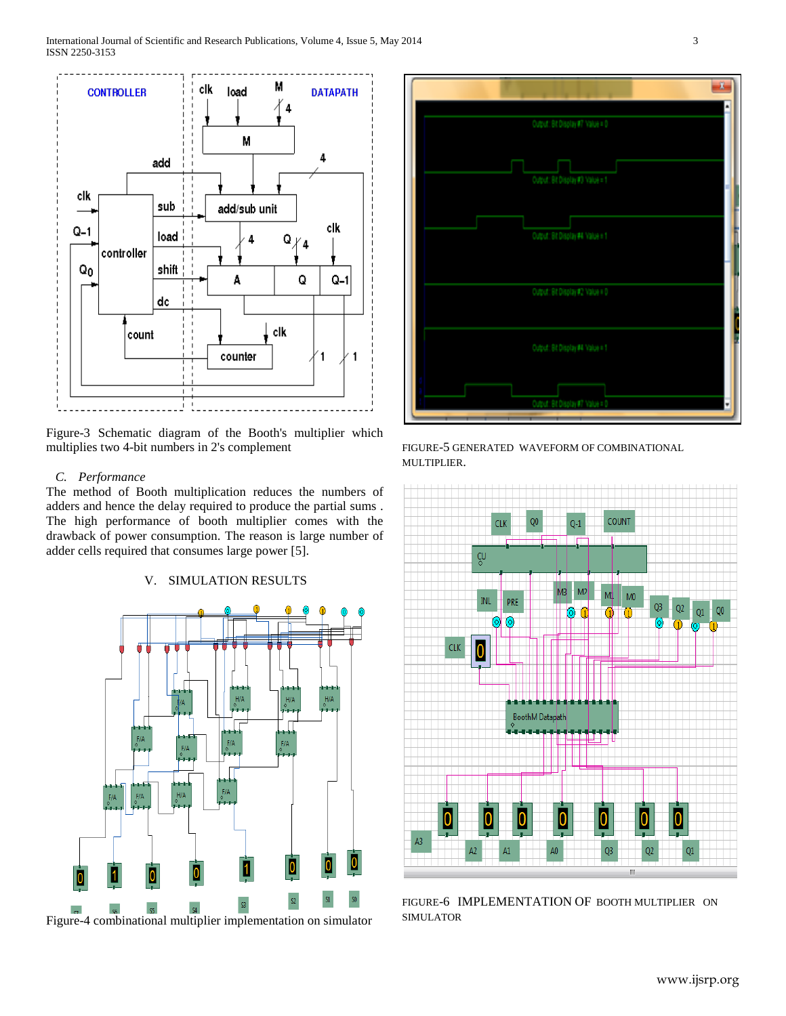

Figure-3 Schematic diagram of the Booth's multiplier which multiplies two 4-bit numbers in 2's complement

#### *C. Performance*

The method of Booth multiplication reduces the numbers of adders and hence the delay required to produce the partial sums . The high performance of booth multiplier comes with the drawback of power consumption. The reason is large number of adder cells required that consumes large power [5].

## V. SIMULATION RESULTS





FIGURE-5 GENERATED WAVEFORM OF COMBINATIONAL MULTIPLIER.



FIGURE-6 IMPLEMENTATION OF BOOTH MULTIPLIER ON SIMULATOR